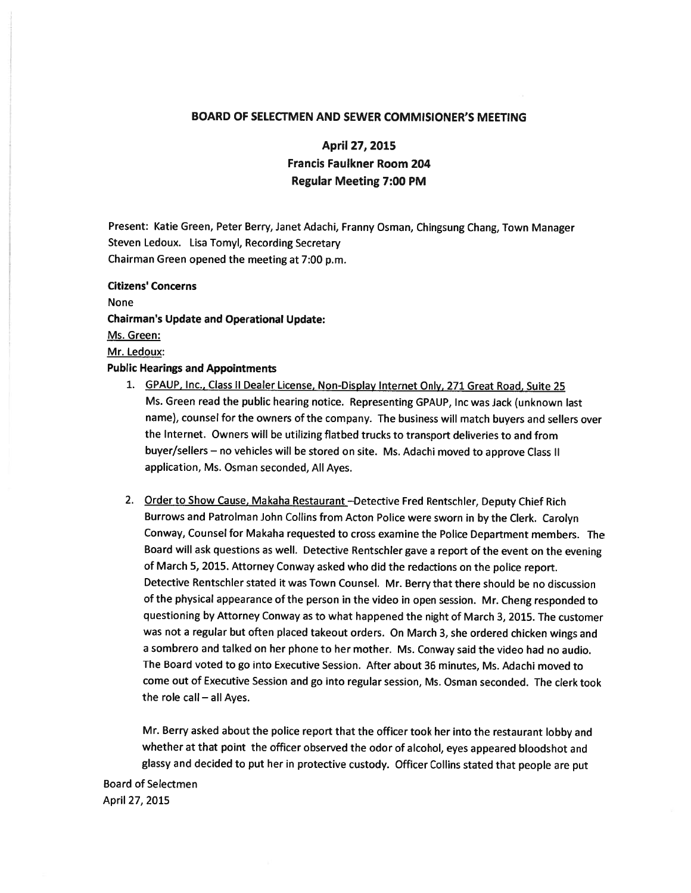## BOARD OF SELECTMEN AND SEWER COMMISIONER'S MEETING

# April 27, 2015 Francis Faulkner Room 204 Regular Meeting 7:00 PM

Present: Katie Green, Peter Berry, Janet Adachi, Franny Osman, Chingsung Chang, Town Manager Steven Ledoux. Lisa Tomyl, Recording Secretary Chairman Green opened the meeting at 7:00 p.m.

Citizens' Concerns None Chairman's Update and Operational Update: Ms. Green: Mr. Ledoux: Public Hearings and Appointments

- 1. GPAUP, Inc., Class II Dealer License, Non-Display Internet Only, 271 Great Road, Suite 25 Ms. Green read the public hearing notice. Representing GPAUP, Inc was Jack (unknown last name), counsel for the owners of the company. The business will match buyers and sellers over the Internet. Owners will be utilizing flatbed trucks to transport deliveries to and from buyer/sellers — no vehicles will be stored on site. Ms. Adachi moved to approve Class II application, Ms. Osman seconded, All Ayes.
- 2. Order to Show Cause, Makaha Restaurant -- Detective Fred Rentschler, Deputy Chief Rich Burrows and Patrolman John Collins from Acton Police were sworn in by the Clerk. Carolyn Conway, Counsel for Makaha requested to cross examine the Police Department members. The Board will ask questions as well. Detective Rentschler gave <sup>a</sup> report of the event on the evening of March 5, 2015. Attorney Conway asked who did the redactions on the police report. Detective Rentschler stated it was Town Counsel. Mr. Berry that there should be no discussion of the <sup>p</sup>hysical appearance of the person in the video in open session. Mr. Cheng responded to questioning by Attorney Conway as to what happened the night of March 3, 2015. The customer was not <sup>a</sup> regular but often <sup>p</sup>laced takeout orders. On March 3, she ordered chicken wings and <sup>a</sup> sombrero and talked on her <sup>p</sup>hone to her mother. Ms. Conway said the video had no audio. The Board voted to go into Executive Session. After about 36 minutes, Ms. Adachi moved to come out of Executive Session and go into regular session, Ms. Osman seconded. The clerk took the role call — all Ayes.

Mr. Berry asked about the police report that the officer took her into the restaurant lobby and whether at that point the officer observed the odor of alcohol, eyes appeared bloodshot and <sup>g</sup>lassy and decided to pu<sup>t</sup> her in protective custody. Officer Collins stated that people are pu<sup>t</sup>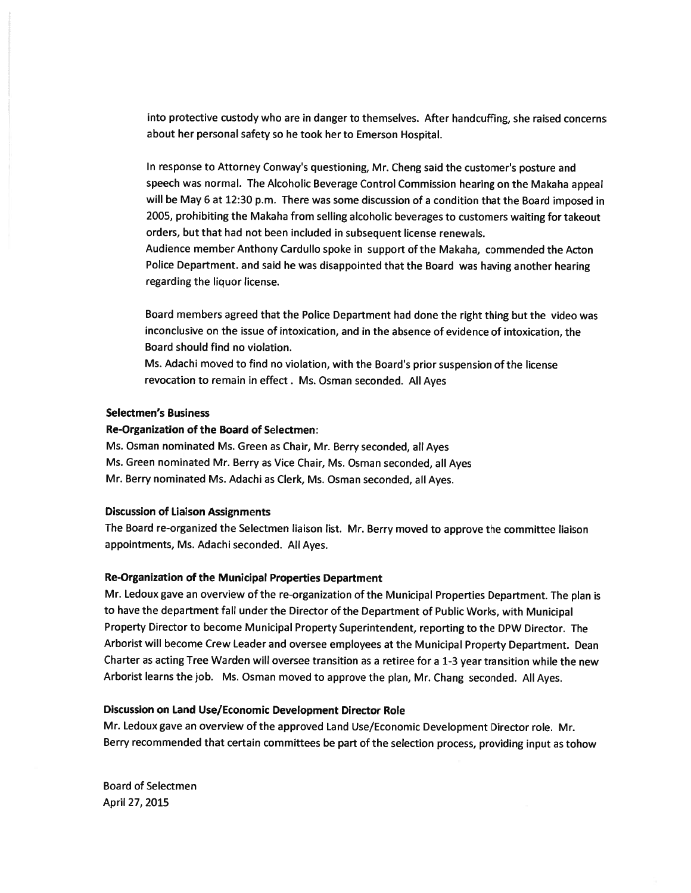into protective custody who are in danger to themselves. After handcuffing, she raised concerns about her persona<sup>l</sup> safety so he took her to Emerson Hospital.

In response to Attorney Conway's questioning, Mr. Cheng said the customer's posture and speec<sup>h</sup> was normal. The Alcoholic Beverage Control Commission hearing on the Makaha appea<sup>l</sup> will be May <sup>6</sup> at 12:30 p.m. There was some discussion of <sup>a</sup> condition that the Board imposed in 2005, prohibiting the Makaha from selling alcoholic beverages to customers waiting for takeout orders, but that had not been included in subsequent license renewals.

Audience member Anthony Cardullo spoke in suppor<sup>t</sup> of the Makaha, commended the Acton Police Department. and said he was disappointed that the Board was having another hearing regarding the liquor license.

Board members agree<sup>d</sup> that the Police Department had done the right thing but the video was inconclusive on the issue of intoxication, and in the absence of evidence of intoxication, the Board should find no violation.

Ms. Adachi moved to find no violation, with the Board's prior suspension of the license revocation to remain in effect. Ms. Osman seconded. All Ayes

#### Selectmen's Business

# Re-Organization of the Board of Selectmen:

Ms. Osman nominated Ms. Green as Chair, Mr. Berry seconded, all Ayes Ms. Green nominated Mr. Berry as Vice Chair, Ms. Osman seconded, all Ayes Mr. Berry nominated Ms. Adachi as Clerk, Ms. Osman seconded, all Ayes.

#### Discussion of Liaison Assignments

The Board re-organized the Selectmen liaison list. Mr. Berry moved to approve the committee liaison appointments, Ms. Adachi seconded. All Ayes.

### Re-Organization of the Municipal Properties Department

Mr. Ledoux gave an overview of the re-organization of the Municipal Properties Department. The <sup>p</sup>lan is to have the department fall under the Director of the Department of Public Works, with Municipal Property Director to become Municipal Property Superintendent, reporting to the DPW Director. The Arborist will become Crew Leader and oversee employees at the Municipal Property Department. Dean Charter as acting Tree Warden will oversee transition as <sup>a</sup> retiree for <sup>a</sup> 1-3 year transition while the new Arborist learns the job. Ms. Osman moved to approve the <sup>p</sup>lan, Mr. Chang seconded. All Ayes.

#### Discussion on Land Use/Economic Development Director Role

Mr. Ledoux gave an overview of the approve<sup>d</sup> Land Use/Economic Development Director role. Mr. Berry recommended that certain committees be par<sup>t</sup> of the selection process, providing input as tohow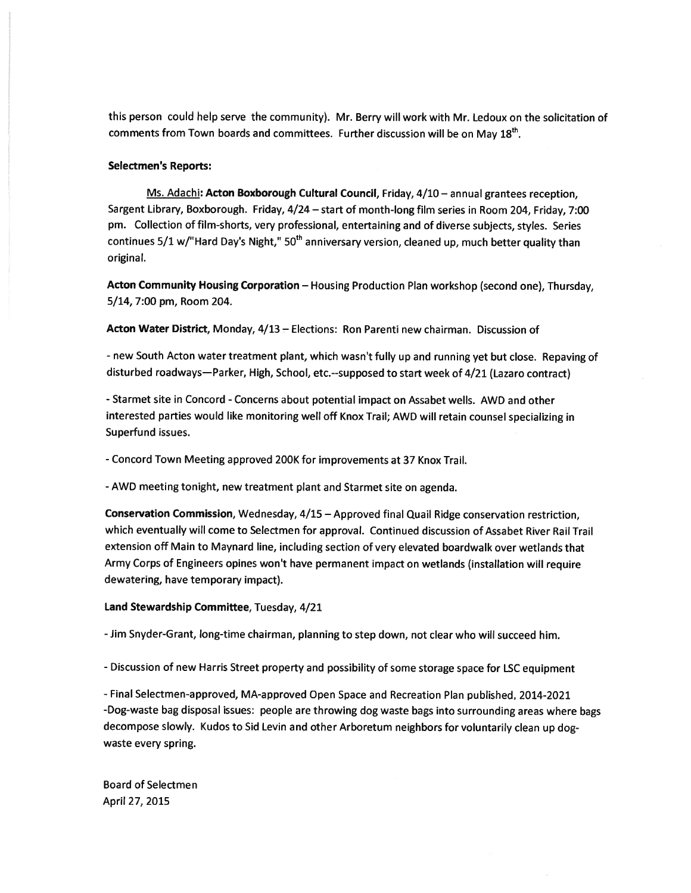this person could help serve the community). Mr. Berry will work with Mr. Ledoux on the solicitation of comments from Town boards and committees. Further discussion will be on May  $18<sup>th</sup>$ .

### Selectmen's Reports:

Ms. Adachi: Acton Boxborough Cultural Council, Friday, 4/10 — annual grantees reception, Sargent Library, Boxborough. Friday, 4/24 — start of month-long film series in Room 204, Friday, 7:00 pm. Collection of film-shorts, very professional, entertaining and of diverse subjects, styles. Series continues 5/1 w/"Hard Day's Night," 50<sup>th</sup> anniversary version, cleaned up, much better quality than original.

Acton Community Housing Corporation — Housing Production Plan workshop (second one), Thursday, 5/14, 7:00 pm, Room 204.

Acton Water District, Monday, 4/13 - Elections: Ron Parenti new chairman. Discussion of

- new South Acton water treatment <sup>p</sup>lant, which wasn't fully up and running ye<sup>t</sup> but close. Repaving of disturbed roadways—Parker, High, School, etc.--supposed to start week of 4/21 (Lazaro contract)

-Starmet site in Concord -Concerns about potential impact on Assabet wells. AWD and other interested parties would like monitoring well off Knox Trail; AWD will retain counsel specializing in Superfund issues.

-Concord Town Meeting approved 200K for improvements at 37 Knox Trail.

-AWD meeting tonight, new treatment <sup>p</sup>lant and Starmet site on agenda.

Conservation Commission, Wednesday, 4/15 — Approved final Quail Ridge conservation restriction, which eventually will come to Selectmen for approval. Continued discussion of Assabet River Rail Trail extension off Main to Maynard line, including section of very elevated boardwalk over wetlands that Army Corps of Engineers opines won't have permanen<sup>t</sup> impact on wetlands (installation will require dewatering, have temporary impact).

## Land Stewardship Committee, Tuesday, 4/21

-Jim Snyder-Grant, long-time chairman, <sup>p</sup>lanning to step down, not clear who will succeed him.

- Discussion of new Harris Street property and possibility of some storage space for LSC equipment

-Final Selectmen-approved, MA-approved Open Space and Recreation Plan published, 2014-2021 -Dog-waste bag disposal issues: people are throwing dog waste bags into surrounding areas where bags decompose slowly. Kudos to Sid Levin and other Arboretum neighbors for voluntarily clean up dog waste every spring.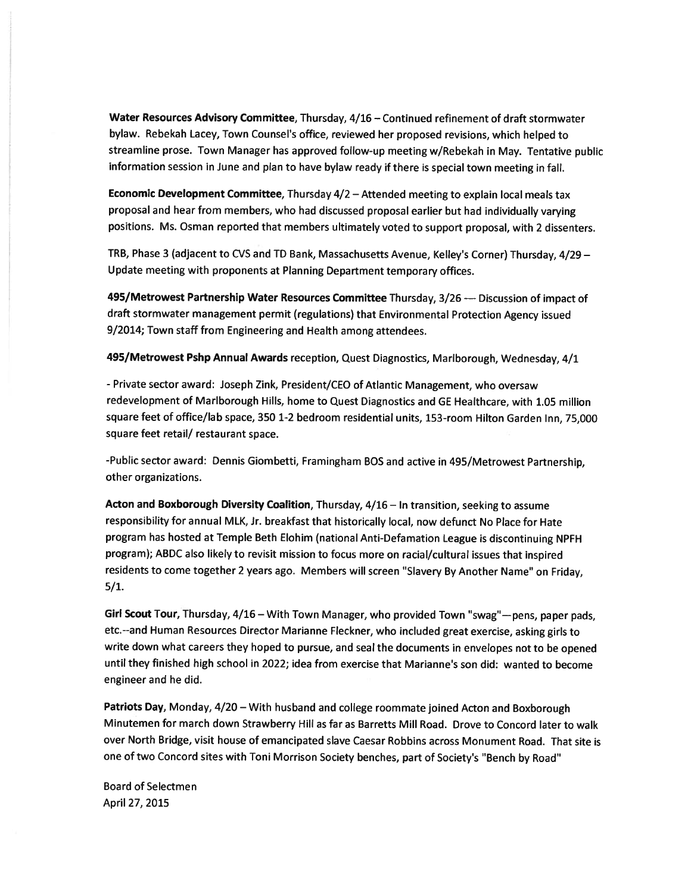Water Resources Advisory Committee, Thursday, 4/16 — Continued refinement of draft stormwater bylaw. Rebekah Lacey, Town Counsel's office, reviewed her propose<sup>d</sup> revisions, which helped to streamline prose. Town Manager has approve<sup>d</sup> follow-up meeting w/Rebekah in May. Tentative public information session in June and <sup>p</sup>lan to have bylaw ready if there is special town meeting in fall.

Economic Development Committee, Thursday 4/2 — Attended meeting to explain local meals tax proposa<sup>l</sup> and hear from members, who had discussed proposa<sup>l</sup> earlier but had individually varying positions. Ms. Osman reported that members ultimately voted to suppor<sup>t</sup> proposal, with <sup>2</sup> dissenters.

TRB, Phase <sup>3</sup> (adjacent to CVS and TD Bank, Massachusetts Avenue, Kelley's Corner) Thursday, 4/29 — Update meeting with proponents at Planning Department temporary offices.

495/Metrowest Partnership Water Resources Committee Thursday, 3/26 — Discussion of impact of draft stormwater managemen<sup>t</sup> permit (regulations) that Environmental Protection Agency issued 9/2014; Town staff from Engineering and Health among attendees.

495/Metrowest Pshp Annual Awards reception, Quest Diagnostics, Marlborough, Wednesday, 4/1

- Private sector award: Joseph Zink, President/CEO of Atlantic Management, who oversaw redevelopment of Marlborough Hills, home to Quest Diagnostics and GE Healthcare, with 1.05 million square feet of office/lab space, 350 1-2 bedroom residential units, 153-room Hilton Garden Inn, 75,000 square feet retail/ restaurant space.

-Public sector award: Dennis Giombetti, Framingham BOS and active in 495/Metrowest Partnership, other organizations.

Acton and Boxborough Diversity Coalition, Thursday, 4/16 - In transition, seeking to assume responsibility for annual MLK, Jr. breakfast that historically local, now defunct No Place for Hate program has hosted at Temple Beth Elohim (national Anti-Defamation League is discontinuing NPFH program); ABDC also likely to revisit mission to focus more on racial/cultural issues that inspired residents to come together <sup>2</sup> years ago. Members will screen "Slavery By Another Name" on Friday, 5/1.

Girl Scout Tour, Thursday, 4/16 – With Town Manager, who provided Town "swag"—pens, paper pads, etc.--and Human Resources Director Marianne Fleckner, who included grea<sup>t</sup> exercise, asking <sup>g</sup>irls to write down what careers they hoped to pursue, and seal the documents in envelopes not to be opene<sup>d</sup> until they finished high school in 2022; idea from exercise that Marianne's son did: wanted to become engineer and he did.

Patriots Day, Monday, 4/20 — With husband and college roommate joined Acton and Boxborough Minutemen for march down Strawberry Hill as far as Barretts Mill Road. Drove to Concord later to walk over North Bridge, visit house of emancipated slave Caesar Robbins across Monument Road. That site is one of two Concord sites with Toni Morrison Society benches, par<sup>t</sup> of Society's "Bench by Road"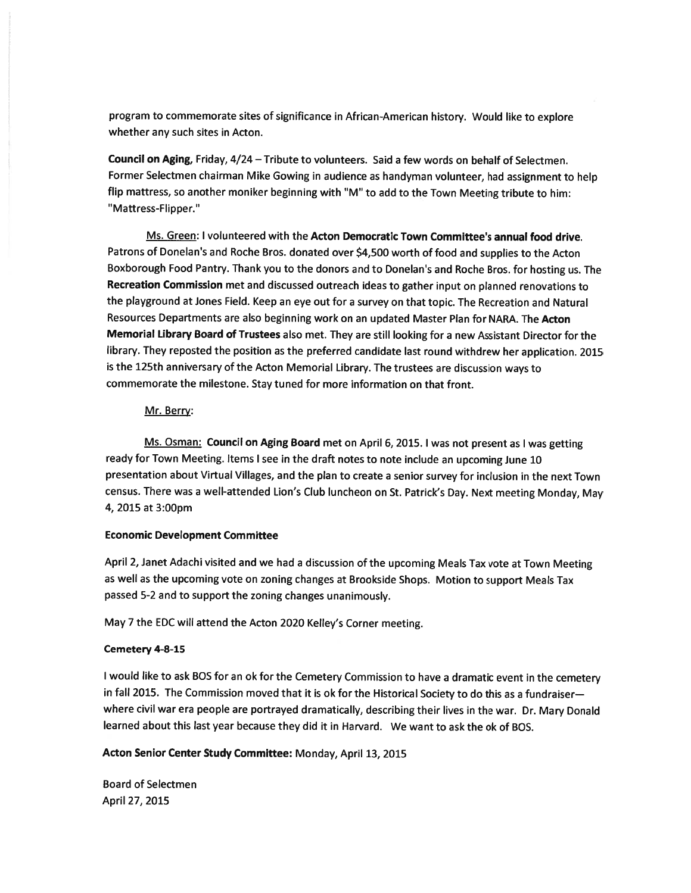program to commemorate sites of significance in African-American history. Would like to explore whether any such sites in Acton.

Council on Aging, Friday, 4/24 — Tribute to volunteers. Said <sup>a</sup> few words on behalf of Selectmen. Former Selectmen chairman Mike Gowing in audience as handyman volunteer, had assignment to help flip mattress, so another moniker beginning with "M" to add to the Town Meeting tribute to him: "Mattress-Flipper."

Ms. Green: I volunteered with the Acton Democratic Town Committee's annual food drive. Patrons of Donelan's and Roche Bros. donated over \$4,500 worth of food and supplies to the Acton Boxborough Food Pantry. Thank you to the donors and to Donelan's and Roche Bros. for hosting us. The Recreation Commission met and discussed outreach ideas to gather input on <sup>p</sup>lanned renovations to the <sup>p</sup>layground at Jones Field. Keep an eye out for <sup>a</sup> survey on that topic. The Recreation and Natural Resources Departments are also beginning work on an updated Master Plan for NARA. The Acton Memorial Library Board of Trustees also met. They are still looking for <sup>a</sup> new Assistant Director for the library. They reposted the position as the preferred candidate last round withdrew her application. <sup>2015</sup> is the 125th anniversary of the Acton Memorial Library. The trustees are discussion ways to commemorate the milestone. Stay tuned for more information on that front.

## Mr. Berry:

Ms. Osman: Council on Aging Board met on April 6, 2015. <sup>I</sup> was not presen<sup>t</sup> as <sup>I</sup> was getting ready for Town Meeting. Items <sup>I</sup> see in the draft notes to note include an upcoming June <sup>10</sup> presentation about Virtual Villages, and the <sup>p</sup>lan to create <sup>a</sup> senior survey for inclusion in the next Town census. There was <sup>a</sup> well-attended Lion's Club luncheon on St. Patrick's Day. Next meeting Monday, May 4, 2015 at 3:00pm

# Economic Development Committee

April 2, Janet Adachi visited and we had <sup>a</sup> discussion of the upcoming Meals Tax vote at Town Meeting as well as the upcoming vote on zoning changes at Brookside Shops. Motion to suppor<sup>t</sup> Meals Tax passe<sup>d</sup> 5-2 and to suppor<sup>t</sup> the zoning changes unanimously.

May <sup>7</sup> the EDC will attend the Acton <sup>2020</sup> KeIley's Corner meeting.

# Cemetery 4-8-15

<sup>I</sup> would like to ask BOS for an ok for the Cemetery Commission to have <sup>a</sup> dramatic event in the cemetery in fall 2015. The Commission moved that it is ok for the Historical Society to do this as <sup>a</sup> fundraiser where civil war era people are portrayed dramatically, describing their lives in the war. Dr. Mary Donald learned about this last year because they did it in Harvard. We want to ask the ok of BOS.

# Acton Senior Center Study Committee: Monday, April 13, 2015